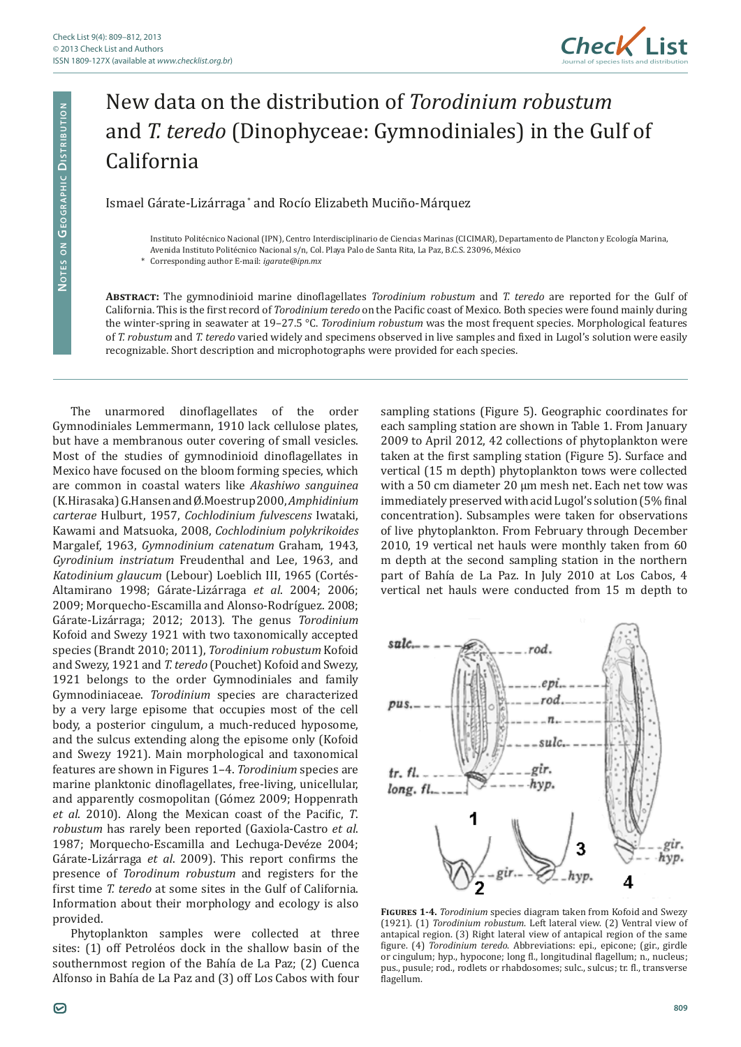NOTES ON GEOGRAPHIC DISTRIBUTION

NOTES ON GEOGRAPHIC DISTRIBUTION



## New data on the distribution of *Torodinium robustum* and *T. teredo* (Dinophyceae: Gymnodiniales) in the Gulf of California

Ismael Gárate-Lizárraga \* and Rocío Elizabeth Muciño-Márquez

Instituto Politécnico Nacional (IPN), Centro Interdisciplinario de Ciencias Marinas (CICIMAR), Departamento de Plancton y Ecología Marina, Avenida Instituto Politécnico Nacional s/n, Col. Playa Palo de Santa Rita, La Paz, B.C.S. 23096, México

**Abstract:** The gymnodinioid marine dinoflagellates *Torodinium robustum* and *T. teredo* are reported for the Gulf of California. This is the first record of *Torodinium teredo* on the Pacific coast of Mexico. Both species were found mainly during the winter-spring in seawater at 19–27.5 °C. *Torodinium robustum* was the most frequent species. Morphological features of *T. robustum* and *T. teredo* varied widely and specimens observed in live samples and fixed in Lugol's solution were easily recognizable. Short description and microphotographs were provided for each species.

The unarmored dinoflagellates of the order Gymnodiniales Lemmermann, 1910 lack cellulose plates, but have a membranous outer covering of small vesicles. Most of the studies of gymnodinioid dinoflagellates in Mexico have focused on the bloom forming species, which are common in coastal waters like *Akashiwo sanguinea*  (K.Hirasaka) G.Hansen and Ø.Moestrup 2000, *Amphidinium carterae* Hulburt, 1957, *Cochlodinium fulvescens* Iwataki, Kawami and Matsuoka, 2008, *Cochlodinium polykrikoides* Margalef, 1963, *Gymnodinium catenatum* Graham, 1943, *Gyrodinium instriatum* Freudenthal and Lee, 1963, and *Katodinium glaucum* (Lebour) Loeblich III, 1965 (Cortés-Altamirano 1998; Gárate-Lizárraga *et al*. 2004; 2006; 2009; Morquecho-Escamilla and Alonso-Rodríguez. 2008; Gárate-Lizárraga; 2012; 2013). The genus *Torodinium*  Kofoid and Swezy 1921 with two taxonomically accepted species (Brandt 2010; 2011), *Torodinium robustum* Kofoid and Swezy, 1921 and *T. teredo* (Pouchet) Kofoid and Swezy, 1921 belongs to the order Gymnodiniales and family Gymnodiniaceae. *Torodinium* species are characterized by a very large episome that occupies most of the cell body, a posterior cingulum, a much-reduced hyposome, and the sulcus extending along the episome only (Kofoid and Swezy 1921). Main morphological and taxonomical features are shown in Figures 1–4. *Torodinium* species are marine planktonic dinoflagellates, free-living, unicellular, and apparently cosmopolitan (Gómez 2009; Hoppenrath *et al*. 2010). Along the Mexican coast of the Pacific, *T*. *robustum* has rarely been reported (Gaxiola-Castro *et al*. 1987; Morquecho-Escamilla and Lechuga-Devéze 2004; Gárate-Lizárraga *et al*. 2009). This report confirms the presence of *Torodinum robustum* and registers for the first time *T. teredo* at some sites in the Gulf of California. Information about their morphology and ecology is also provided.

Phytoplankton samples were collected at three sites: (1) off Petroléos dock in the shallow basin of the southernmost region of the Bahía de La Paz; (2) Cuenca Alfonso in Bahía de La Paz and (3) off Los Cabos with four sampling stations (Figure 5). Geographic coordinates for each sampling station are shown in Table 1. From January 2009 to April 2012, 42 collections of phytoplankton were taken at the first sampling station (Figure 5). Surface and vertical (15 m depth) phytoplankton tows were collected with a 50 cm diameter 20 µm mesh net. Each net tow was immediately preserved with acid Lugol's solution (5% final concentration). Subsamples were taken for observations of live phytoplankton. From February through December 2010, 19 vertical net hauls were monthly taken from 60 m depth at the second sampling station in the northern part of Bahía de La Paz. In July 2010 at Los Cabos, 4 vertical net hauls were conducted from 15 m depth to



**Figures 1-4.** *Torodinium* species diagram taken from Kofoid and Swezy (1921). (1) *Torodinium robustum*. Left lateral view. (2) Ventral view of antapical region. (3) Right lateral view of antapical region of the same figure. (4) *Torodinium teredo*. Abbreviations: epi., epicone; (gir., girdle or cingulum; hyp., hypocone; long fl., longitudinal flagellum; n., nucleus; pus., pusule; rod., rodlets or rhabdosomes; sulc., sulcus; tr. fl., transverse flagellum.

<sup>\*</sup> Corresponding author E-mail: *igarate@ipn.mx*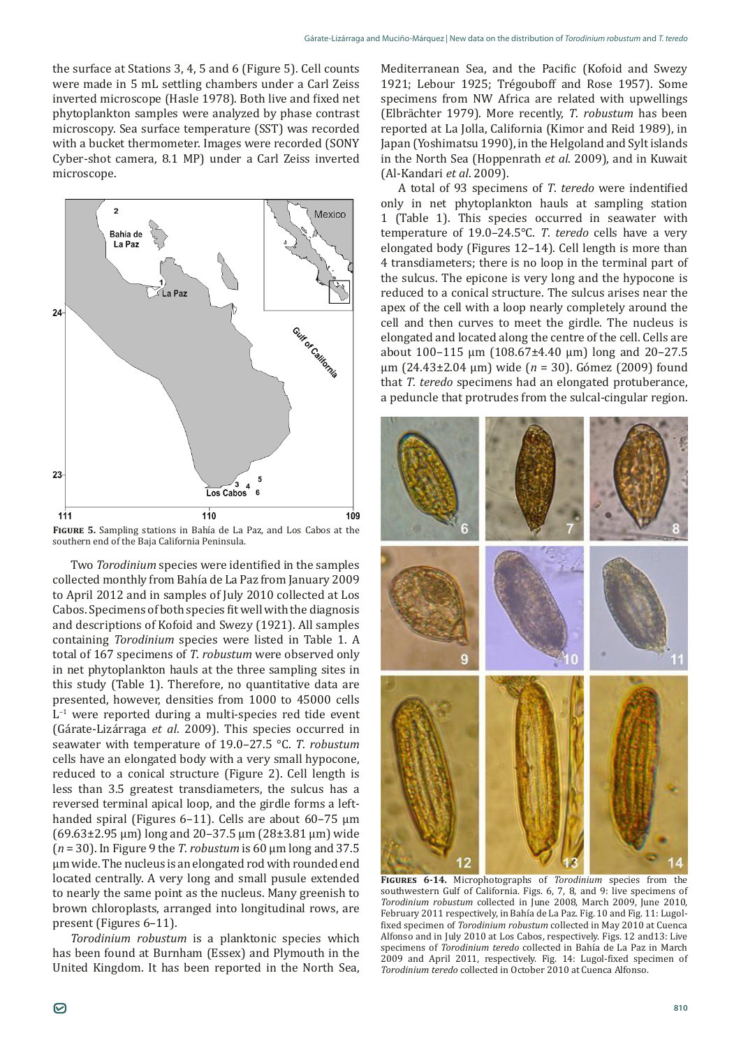the surface at Stations 3, 4, 5 and 6 (Figure 5). Cell counts were made in 5 mL settling chambers under a Carl Zeiss inverted microscope (Hasle 1978). Both live and fixed net phytoplankton samples were analyzed by phase contrast microscopy. Sea surface temperature (SST) was recorded with a bucket thermometer. Images were recorded (SONY Cyber-shot camera, 8.1 MP) under a Carl Zeiss inverted microscope.



**Figure 5.** Sampling stations in Bahía de La Paz, and Los Cabos at the southern end of the Baja California Peninsula.

Two *Torodinium* species were identified in the samples collected monthly from Bahía de La Paz from January 2009 to April 2012 and in samples of July 2010 collected at Los Cabos. Specimens of both species fit well with the diagnosis and descriptions of Kofoid and Swezy (1921). All samples containing *Torodinium* species were listed in Table 1. A total of 167 specimens of *T*. *robustum* were observed only in net phytoplankton hauls at the three sampling sites in this study (Table 1). Therefore, no quantitative data are presented, however, densities from 1000 to 45000 cells  $L^{-1}$  were reported during a multi-species red tide event (Gárate-Lizárraga *et al*. 2009). This species occurred in seawater with temperature of 19.0–27.5 °C. *T*. *robustum* cells have an elongated body with a very small hypocone, reduced to a conical structure (Figure 2). Cell length is less than 3.5 greatest transdiameters, the sulcus has a reversed terminal apical loop, and the girdle forms a lefthanded spiral (Figures 6–11). Cells are about 60–75 µm (69.63±2.95 μm) long and 20–37.5 µm (28±3.81 μm) wide (*n* = 30). In Figure 9 the *T*. *robustum* is 60 µm long and 37.5 µm wide. The nucleus is an elongated rod with rounded end located centrally. A very long and small pusule extended to nearly the same point as the nucleus. Many greenish to brown chloroplasts, arranged into longitudinal rows, are present (Figures 6–11).

*Torodinium robustum* is a planktonic species which has been found at Burnham (Essex) and Plymouth in the United Kingdom. It has been reported in the North Sea, Mediterranean Sea, and the Pacific (Kofoid and Swezy 1921; Lebour 1925; Trégouboff and Rose 1957). Some specimens from NW Africa are related with upwellings (Elbrächter 1979). More recently, *T*. *robustum* has been reported at La Jolla, California (Kimor and Reid 1989), in Japan (Yoshimatsu 1990), in the Helgoland and Sylt islands in the North Sea (Hoppenrath *et al*. 2009), and in Kuwait (Al-Kandari *et al*. 2009).

A total of 93 specimens of *T*. *teredo* were indentified only in net phytoplankton hauls at sampling station 1 (Table 1). This species occurred in seawater with temperature of 19.0–24.5°C. *T*. *teredo* cells have a very elongated body (Figures 12–14). Cell length is more than 4 transdiameters; there is no loop in the terminal part of the sulcus. The epicone is very long and the hypocone is reduced to a conical structure. The sulcus arises near the apex of the cell with a loop nearly completely around the cell and then curves to meet the girdle. The nucleus is elongated and located along the centre of the cell. Cells are about 100–115 µm (108.67±4.40 μm) long and 20–27.5 µm (24.43±2.04 μm) wide (*n* = 30). Gómez (2009) found that *T*. *teredo* specimens had an elongated protuberance, a peduncle that protrudes from the sulcal-cingular region.



**Figures 6-14.** Microphotographs of *Torodinium* species from the southwestern Gulf of California. Figs. 6, 7, 8, and 9: live specimens of *Torodinium robustum* collected in June 2008, March 2009, June 2010, February 2011 respectively, in Bahía de La Paz. Fig. 10 and Fig. 11: Lugolfixed specimen of *Torodinium robustum* collected in May 2010 at Cuenca Alfonso and in July 2010 at Los Cabos, respectively. Figs. 12 and13: Live specimens of *Torodinium teredo* collected in Bahía de La Paz in March 2009 and April 2011, respectively. Fig. 14: Lugol-fixed specimen of *Torodinium teredo* collected in October 2010 at Cuenca Alfonso.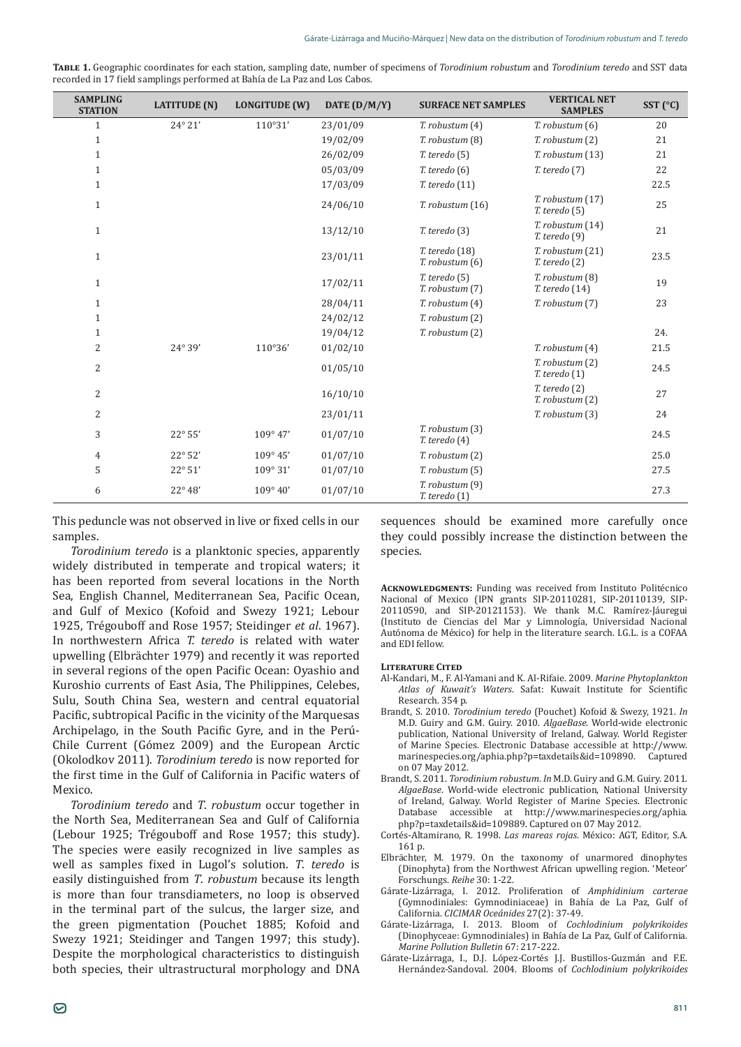| TABLE 1. Geographic coordinates for each station, sampling date, number of specimens of Torodinium robustum and Torodinium teredo and SST data |  |
|------------------------------------------------------------------------------------------------------------------------------------------------|--|
| recorded in 17 field samplings performed at Bahía de La Paz and Los Cabos.                                                                     |  |

| <b>SAMPLING</b><br><b>STATION</b> | <b>LATITUDE</b> (N) | <b>LONGITUDE (W)</b> | DATE (D/M/Y) | <b>SURFACE NET SAMPLES</b>                | <b>VERTICAL NET</b><br><b>SAMPLES</b>     | SST (°C) |
|-----------------------------------|---------------------|----------------------|--------------|-------------------------------------------|-------------------------------------------|----------|
| $\mathbf{1}$                      | 24° 21'             | 110°31'              | 23/01/09     | $T.$ robustum $(4)$                       | $T.$ robustum $(6)$                       | 20       |
| $\mathbf{1}$                      |                     |                      | 19/02/09     | T. robustum (8)                           | T. robustum (2)                           | 21       |
| $\mathbf{1}$                      |                     |                      | 26/02/09     | $T.$ teredo $(5)$                         | T. robustum (13)                          | 21       |
| $\mathbf{1}$                      |                     |                      | 05/03/09     | $T.$ teredo $(6)$                         | $T.$ teredo $(7)$                         | 22       |
| $\mathbf{1}$                      |                     |                      | 17/03/09     | $T.$ teredo $(11)$                        |                                           | 22.5     |
| $\mathbf{1}$                      |                     |                      | 24/06/10     | T. robustum (16)                          | $T.$ robustum $(17)$<br>$T.$ teredo $(5)$ | 25       |
| $\mathbf{1}$                      |                     |                      | 13/12/10     | $T.$ teredo $(3)$                         | T. robustum (14)<br>$T.$ teredo $(9)$     | 21       |
| $\mathbf{1}$                      |                     |                      | 23/01/11     | $T.$ teredo $(18)$<br>$T.$ robustum $(6)$ | T. robustum (21)<br>$T.$ teredo $(2)$     | 23.5     |
| $\mathbf{1}$                      |                     |                      | 17/02/11     | $T.$ teredo $(5)$<br>T. robustum (7)      | T. robustum (8)<br>$T.$ teredo $(14)$     | 19       |
| $\mathbf{1}$                      |                     |                      | 28/04/11     | $T.$ robustum $(4)$                       | $T.$ robustum $(7)$                       | 23       |
| $\mathbf{1}$                      |                     |                      | 24/02/12     | T. robustum (2)                           |                                           |          |
| $\mathbf{1}$                      |                     |                      | 19/04/12     | T. robustum (2)                           |                                           | 24.      |
| $\overline{2}$                    | 24° 39'             | 110°36'              | 01/02/10     |                                           | T. robustum (4)                           | 21.5     |
| 2                                 |                     |                      | 01/05/10     |                                           | T. robustum (2)<br>$T.$ teredo $(1)$      | 24.5     |
| 2                                 |                     |                      | 16/10/10     |                                           | $T.$ teredo $(2)$<br>$T.$ robustum $(2)$  | 27       |
| 2                                 |                     |                      | 23/01/11     |                                           | T. robustum (3)                           | 24       |
| 3                                 | $22^{\circ}55'$     | $109^{\circ}$ 47'    | 01/07/10     | T. robustum (3)<br>$T.$ teredo $(4)$      |                                           | 24.5     |
| 4                                 | 22° 52'             | 109°45'              | 01/07/10     | T. robustum (2)                           |                                           | 25.0     |
| 5                                 | $22^{\circ}51'$     | 109°31'              | 01/07/10     | $T.$ robustum $(5)$                       |                                           | 27.5     |
| 6                                 | 22° 48'             | $109^{\circ} 40'$    | 01/07/10     | T. robustum (9)<br>$T.$ teredo $(1)$      |                                           | 27.3     |

This peduncle was not observed in live or fixed cells in our samples.

*Torodinium teredo* is a planktonic species, apparently widely distributed in temperate and tropical waters; it has been reported from several locations in the North Sea, English Channel, Mediterranean Sea, Pacific Ocean, and Gulf of Mexico (Kofoid and Swezy 1921; Lebour 1925, Trégouboff and Rose 1957; Steidinger *et al*. 1967). In northwestern Africa *T. teredo* is related with water upwelling (Elbrächter 1979) and recently it was reported in several regions of the open Pacific Ocean: Oyashio and Kuroshio currents of East Asia, The Philippines, Celebes, Sulu, South China Sea, western and central equatorial Pacific, subtropical Pacific in the vicinity of the Marquesas Archipelago, in the South Pacific Gyre, and in the Perú-Chile Current (Gómez 2009) and the European Arctic (Okolodkov 2011). *Torodinium teredo* is now reported for the first time in the Gulf of California in Pacific waters of Mexico.

*Torodinium teredo* and *T*. *robustum* occur together in the North Sea, Mediterranean Sea and Gulf of California (Lebour 1925; Trégouboff and Rose 1957; this study). The species were easily recognized in live samples as well as samples fixed in Lugol's solution. *T*. *teredo* is easily distinguished from *T*. *robustum* because its length is more than four transdiameters, no loop is observed in the terminal part of the sulcus, the larger size, and the green pigmentation (Pouchet 1885; Kofoid and Swezy 1921; Steidinger and Tangen 1997; this study). Despite the morphological characteristics to distinguish both species, their ultrastructural morphology and DNA sequences should be examined more carefully once they could possibly increase the distinction between the species.

**Acknowledgments:** Funding was received from Instituto Politécnico Nacional of Mexico (IPN grants SIP-20110281, SIP-20110139, SIP-20110590, and SIP-20121153). We thank M.C. Ramírez-Jáuregui (Instituto de Ciencias del Mar y Limnología, Universidad Nacional Autónoma de México) for help in the literature search. I.G.L. is a COFAA and EDI fellow.

## **Literature Cited**

- Al-Kandari, M., F. Al-Yamani and K. Al-Rifaie. 2009. *Marine Phytoplankton Atlas of Kuwait's Waters*. Safat: Kuwait Institute for Scientific Research. 354 p.
- Brandt, S. 2010. *Torodinium teredo* (Pouchet) Kofoid & Swezy, 1921. *In* M.D. Guiry and G.M. Guiry. 2010. *AlgaeBase*. World-wide electronic publication, National University of Ireland, Galway. World Register of Marine Species. Electronic Database accessible at http://www. marinespecies.org/aphia.php?p=taxdetails&id=109890. on 07 May 2012.
- Brandt, S. 2011. *Torodinium robustum*. *In* M.D. Guiry and G.M. Guiry. 2011. *AlgaeBase*. World-wide electronic publication, National University of Ireland, Galway. World Register of Marine Species. Electronic Database accessible at http://www.marinespecies.org/aphia. php?p=taxdetails&id=109889. Captured on 07 May 2012.
- Cortés-Altamirano, R. 1998. *Las mareas rojas*. México: AGT, Editor, S.A. 161 p.
- Elbrächter, M. 1979. On the taxonomy of unarmored dinophytes (Dinophyta) from the Northwest African upwelling region. 'Meteor' Forschungs. *Reihe* 30: 1-22.
- Gárate-Lizárraga, I. 2012. Proliferation of *Amphidinium carterae* (Gymnodiniales: Gymnodiniaceae) in Bahía de La Paz, Gulf of California. *CICIMAR Oceánides* 27(2): 37-49.
- Gárate-Lizárraga, I. 2013. Bloom of *Cochlodinium polykrikoides* (Dinophyceae: Gymnodiniales) in Bahía de La Paz, Gulf of California. *Marine Pollution Bulletin* 67: 217-222.
- Gárate-Lizárraga, I., D.J. López-Cortés J.J. Bustillos-Guzmán and F.E. Hernández-Sandoval. 2004. Blooms of *Cochlodinium polykrikoides*